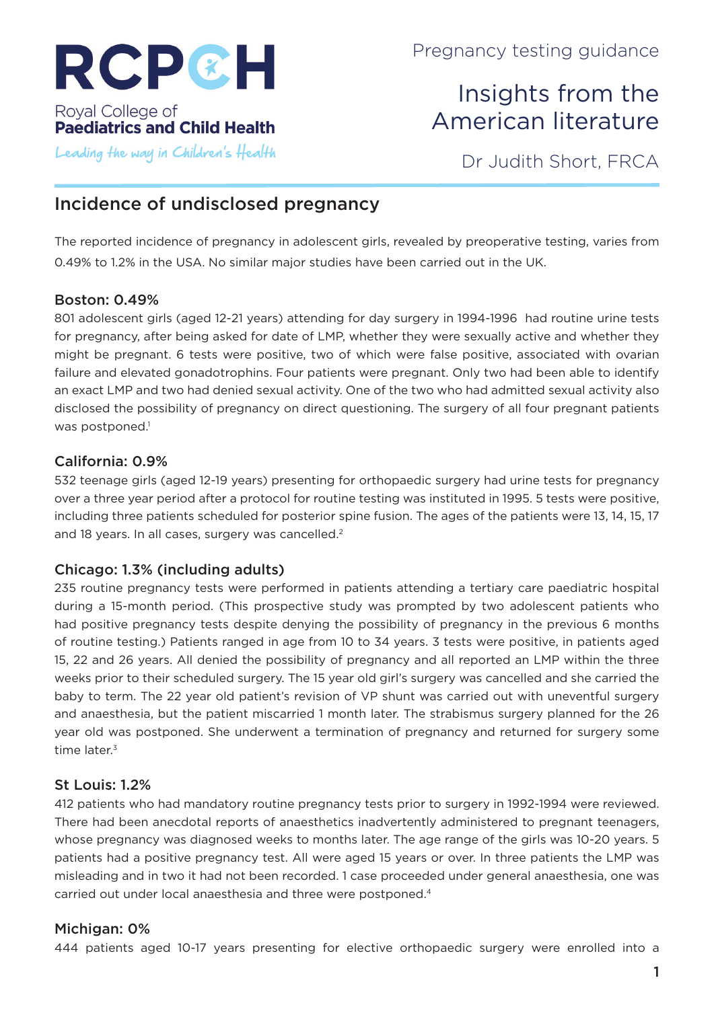

# Insights from the American literature

Leading the way in Children's Health

Dr Judith Short, FRCA

## Incidence of undisclosed pregnancy

The reported incidence of pregnancy in adolescent girls, revealed by preoperative testing, varies from 0.49% to 1.2% in the USA. No similar major studies have been carried out in the UK.

### Boston: 0.49%

801 adolescent girls (aged 12-21 years) attending for day surgery in 1994-1996 had routine urine tests for pregnancy, after being asked for date of LMP, whether they were sexually active and whether they might be pregnant. 6 tests were positive, two of which were false positive, associated with ovarian failure and elevated gonadotrophins. Four patients were pregnant. Only two had been able to identify an exact LMP and two had denied sexual activity. One of the two who had admitted sexual activity also disclosed the possibility of pregnancy on direct questioning. The surgery of all four pregnant patients was postponed.<sup>1</sup>

### California: 0.9%

532 teenage girls (aged 12-19 years) presenting for orthopaedic surgery had urine tests for pregnancy over a three year period after a protocol for routine testing was instituted in 1995. 5 tests were positive, including three patients scheduled for posterior spine fusion. The ages of the patients were 13, 14, 15, 17 and 18 years. In all cases, surgery was cancelled.<sup>2</sup>

### Chicago: 1.3% (including adults)

235 routine pregnancy tests were performed in patients attending a tertiary care paediatric hospital during a 15-month period. (This prospective study was prompted by two adolescent patients who had positive pregnancy tests despite denying the possibility of pregnancy in the previous 6 months of routine testing.) Patients ranged in age from 10 to 34 years. 3 tests were positive, in patients aged 15, 22 and 26 years. All denied the possibility of pregnancy and all reported an LMP within the three weeks prior to their scheduled surgery. The 15 year old girl's surgery was cancelled and she carried the baby to term. The 22 year old patient's revision of VP shunt was carried out with uneventful surgery and anaesthesia, but the patient miscarried 1 month later. The strabismus surgery planned for the 26 year old was postponed. She underwent a termination of pregnancy and returned for surgery some time later.<sup>3</sup>

### St Louis: 1.2%

412 patients who had mandatory routine pregnancy tests prior to surgery in 1992-1994 were reviewed. There had been anecdotal reports of anaesthetics inadvertently administered to pregnant teenagers, whose pregnancy was diagnosed weeks to months later. The age range of the girls was 10-20 years. 5 patients had a positive pregnancy test. All were aged 15 years or over. In three patients the LMP was misleading and in two it had not been recorded. 1 case proceeded under general anaesthesia, one was carried out under local anaesthesia and three were postponed.4

### Michigan: 0%

444 patients aged 10-17 years presenting for elective orthopaedic surgery were enrolled into a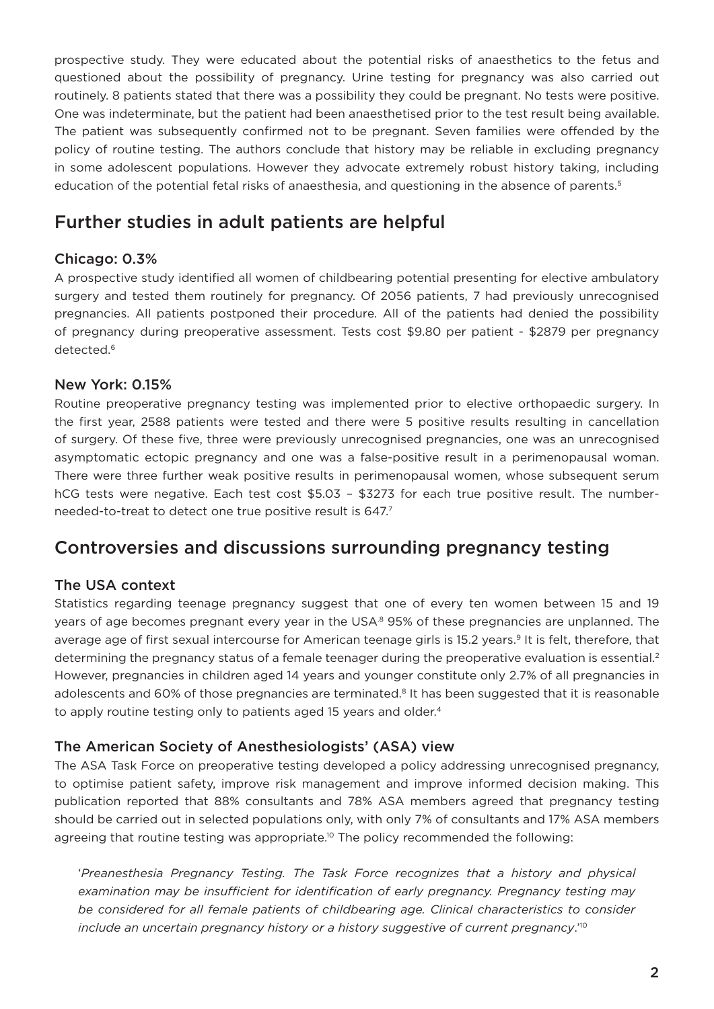prospective study. They were educated about the potential risks of anaesthetics to the fetus and questioned about the possibility of pregnancy. Urine testing for pregnancy was also carried out routinely. 8 patients stated that there was a possibility they could be pregnant. No tests were positive. One was indeterminate, but the patient had been anaesthetised prior to the test result being available. The patient was subsequently confirmed not to be pregnant. Seven families were offended by the policy of routine testing. The authors conclude that history may be reliable in excluding pregnancy in some adolescent populations. However they advocate extremely robust history taking, including education of the potential fetal risks of anaesthesia, and questioning in the absence of parents.<sup>5</sup>

## Further studies in adult patients are helpful

### Chicago: 0.3%

A prospective study identified all women of childbearing potential presenting for elective ambulatory surgery and tested them routinely for pregnancy. Of 2056 patients, 7 had previously unrecognised pregnancies. All patients postponed their procedure. All of the patients had denied the possibility of pregnancy during preoperative assessment. Tests cost \$9.80 per patient - \$2879 per pregnancy detected.<sup>6</sup>

### New York: 0.15%

Routine preoperative pregnancy testing was implemented prior to elective orthopaedic surgery. In the first year, 2588 patients were tested and there were 5 positive results resulting in cancellation of surgery. Of these five, three were previously unrecognised pregnancies, one was an unrecognised asymptomatic ectopic pregnancy and one was a false-positive result in a perimenopausal woman. There were three further weak positive results in perimenopausal women, whose subsequent serum hCG tests were negative. Each test cost \$5.03 – \$3273 for each true positive result. The numberneeded-to-treat to detect one true positive result is 647.7

### Controversies and discussions surrounding pregnancy testing

### The USA context

Statistics regarding teenage pregnancy suggest that one of every ten women between 15 and 19 years of age becomes pregnant every year in the USA.<sup>8</sup> 95% of these pregnancies are unplanned. The average age of first sexual intercourse for American teenage girls is 15.2 years.<sup>9</sup> It is felt, therefore, that determining the pregnancy status of a female teenager during the preoperative evaluation is essential.<sup>2</sup> However, pregnancies in children aged 14 years and younger constitute only 2.7% of all pregnancies in adolescents and 60% of those pregnancies are terminated.<sup>8</sup> It has been suggested that it is reasonable to apply routine testing only to patients aged 15 years and older.<sup>4</sup>

### The American Society of Anesthesiologists' (ASA) view

The ASA Task Force on preoperative testing developed a policy addressing unrecognised pregnancy, to optimise patient safety, improve risk management and improve informed decision making. This publication reported that 88% consultants and 78% ASA members agreed that pregnancy testing should be carried out in selected populations only, with only 7% of consultants and 17% ASA members agreeing that routine testing was appropriate.<sup>10</sup> The policy recommended the following:

'*Preanesthesia Pregnancy Testing. The Task Force recognizes that a history and physical*  examination may be insufficient for identification of early pregnancy. Pregnancy testing may *be considered for all female patients of childbearing age. Clinical characteristics to consider include an uncertain pregnancy history or a history suggestive of current pregnancy*.'10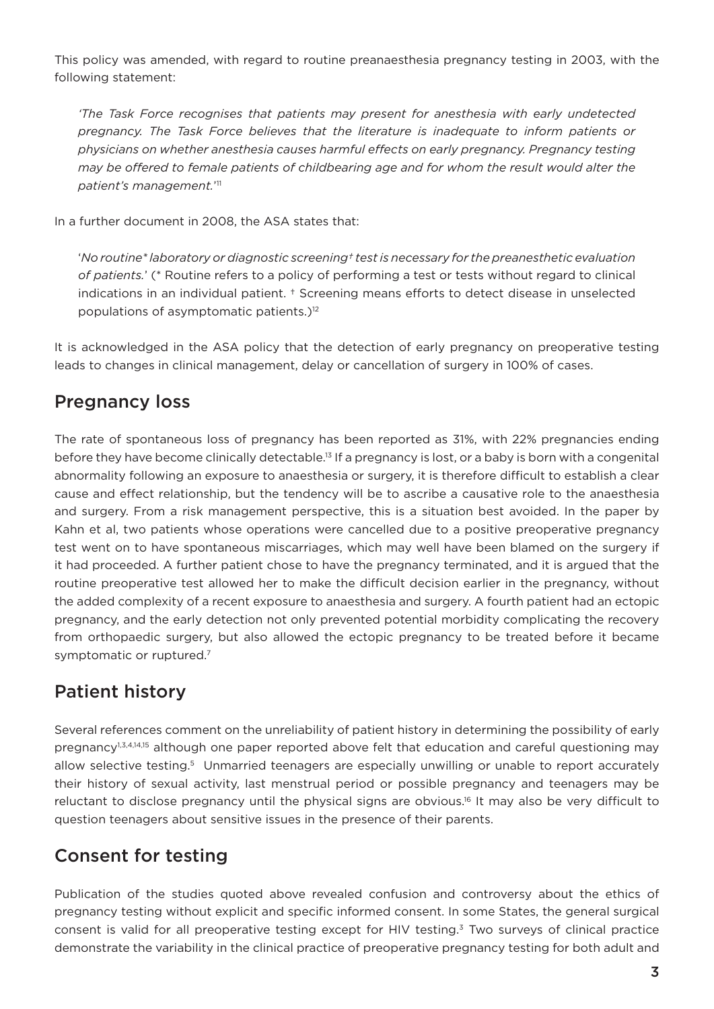This policy was amended, with regard to routine preanaesthesia pregnancy testing in 2003, with the following statement:

*'The Task Force recognises that patients may present for anesthesia with early undetected pregnancy. The Task Force believes that the literature is inadequate to inform patients or physicians on whether anesthesia causes harmful effects on early pregnancy. Pregnancy testing may be offered to female patients of childbearing age and for whom the result would alter the patient's management.*' 11

In a further document in 2008, the ASA states that:

'*No routine\* laboratory or diagnostic screening† test is necessary for the preanesthetic evaluation of patients.*' (\* Routine refers to a policy of performing a test or tests without regard to clinical indications in an individual patient. † Screening means efforts to detect disease in unselected populations of asymptomatic patients.)12

It is acknowledged in the ASA policy that the detection of early pregnancy on preoperative testing leads to changes in clinical management, delay or cancellation of surgery in 100% of cases.

### Pregnancy loss

The rate of spontaneous loss of pregnancy has been reported as 31%, with 22% pregnancies ending before they have become clinically detectable.<sup>13</sup> If a pregnancy is lost, or a baby is born with a congenital abnormality following an exposure to anaesthesia or surgery, it is therefore difficult to establish a clear cause and effect relationship, but the tendency will be to ascribe a causative role to the anaesthesia and surgery. From a risk management perspective, this is a situation best avoided. In the paper by Kahn et al, two patients whose operations were cancelled due to a positive preoperative pregnancy test went on to have spontaneous miscarriages, which may well have been blamed on the surgery if it had proceeded. A further patient chose to have the pregnancy terminated, and it is argued that the routine preoperative test allowed her to make the difficult decision earlier in the pregnancy, without the added complexity of a recent exposure to anaesthesia and surgery. A fourth patient had an ectopic pregnancy, and the early detection not only prevented potential morbidity complicating the recovery from orthopaedic surgery, but also allowed the ectopic pregnancy to be treated before it became symptomatic or ruptured.<sup>7</sup>

## Patient history

Several references comment on the unreliability of patient history in determining the possibility of early pregnancy<sup>1,3,4,14,15</sup> although one paper reported above felt that education and careful questioning may allow selective testing.<sup>5</sup> Unmarried teenagers are especially unwilling or unable to report accurately their history of sexual activity, last menstrual period or possible pregnancy and teenagers may be reluctant to disclose pregnancy until the physical signs are obvious.<sup>16</sup> It may also be very difficult to question teenagers about sensitive issues in the presence of their parents.

## Consent for testing

Publication of the studies quoted above revealed confusion and controversy about the ethics of pregnancy testing without explicit and specific informed consent. In some States, the general surgical consent is valid for all preoperative testing except for HIV testing.<sup>3</sup> Two surveys of clinical practice demonstrate the variability in the clinical practice of preoperative pregnancy testing for both adult and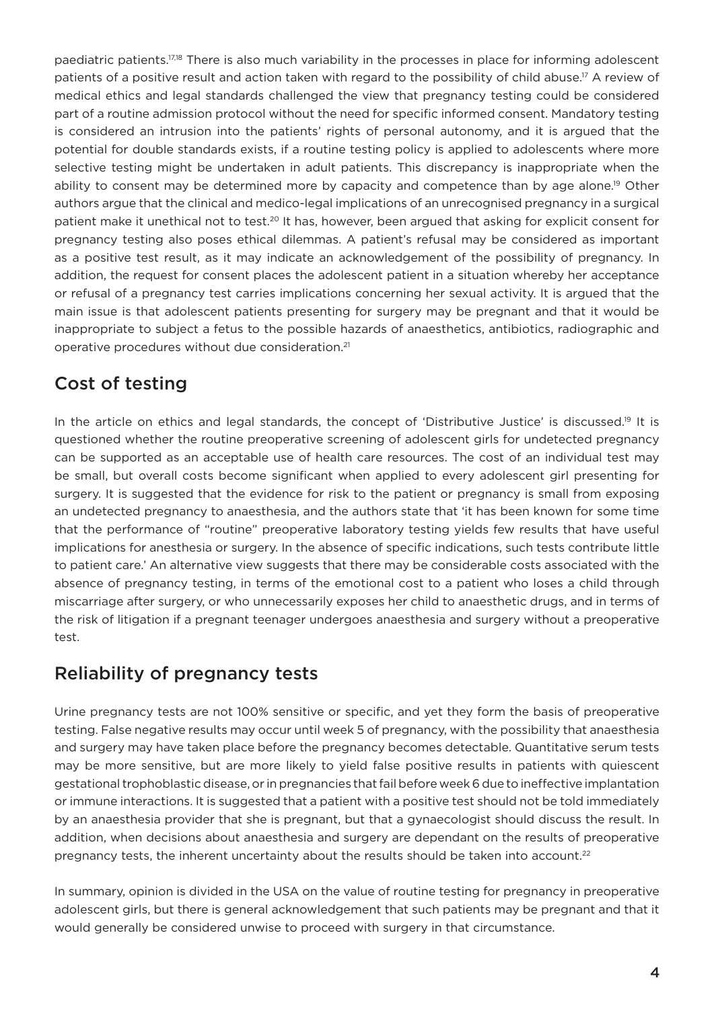paediatric patients.17,18 There is also much variability in the processes in place for informing adolescent patients of a positive result and action taken with regard to the possibility of child abuse.<sup>17</sup> A review of medical ethics and legal standards challenged the view that pregnancy testing could be considered part of a routine admission protocol without the need for specific informed consent. Mandatory testing is considered an intrusion into the patients' rights of personal autonomy, and it is argued that the potential for double standards exists, if a routine testing policy is applied to adolescents where more selective testing might be undertaken in adult patients. This discrepancy is inappropriate when the ability to consent may be determined more by capacity and competence than by age alone.<sup>19</sup> Other authors argue that the clinical and medico-legal implications of an unrecognised pregnancy in a surgical patient make it unethical not to test.<sup>20</sup> It has, however, been argued that asking for explicit consent for pregnancy testing also poses ethical dilemmas. A patient's refusal may be considered as important as a positive test result, as it may indicate an acknowledgement of the possibility of pregnancy. In addition, the request for consent places the adolescent patient in a situation whereby her acceptance or refusal of a pregnancy test carries implications concerning her sexual activity. It is argued that the main issue is that adolescent patients presenting for surgery may be pregnant and that it would be inappropriate to subject a fetus to the possible hazards of anaesthetics, antibiotics, radiographic and operative procedures without due consideration.21

## Cost of testing

In the article on ethics and legal standards, the concept of 'Distributive Justice' is discussed.<sup>19</sup> It is questioned whether the routine preoperative screening of adolescent girls for undetected pregnancy can be supported as an acceptable use of health care resources. The cost of an individual test may be small, but overall costs become significant when applied to every adolescent girl presenting for surgery. It is suggested that the evidence for risk to the patient or pregnancy is small from exposing an undetected pregnancy to anaesthesia, and the authors state that 'it has been known for some time that the performance of "routine" preoperative laboratory testing yields few results that have useful implications for anesthesia or surgery. In the absence of specific indications, such tests contribute little to patient care.' An alternative view suggests that there may be considerable costs associated with the absence of pregnancy testing, in terms of the emotional cost to a patient who loses a child through miscarriage after surgery, or who unnecessarily exposes her child to anaesthetic drugs, and in terms of the risk of litigation if a pregnant teenager undergoes anaesthesia and surgery without a preoperative test.

## Reliability of pregnancy tests

Urine pregnancy tests are not 100% sensitive or specific, and yet they form the basis of preoperative testing. False negative results may occur until week 5 of pregnancy, with the possibility that anaesthesia and surgery may have taken place before the pregnancy becomes detectable. Quantitative serum tests may be more sensitive, but are more likely to yield false positive results in patients with quiescent gestational trophoblastic disease, or in pregnancies that fail before week 6 due to ineffective implantation or immune interactions. It is suggested that a patient with a positive test should not be told immediately by an anaesthesia provider that she is pregnant, but that a gynaecologist should discuss the result. In addition, when decisions about anaesthesia and surgery are dependant on the results of preoperative pregnancy tests, the inherent uncertainty about the results should be taken into account.<sup>22</sup>

In summary, opinion is divided in the USA on the value of routine testing for pregnancy in preoperative adolescent girls, but there is general acknowledgement that such patients may be pregnant and that it would generally be considered unwise to proceed with surgery in that circumstance.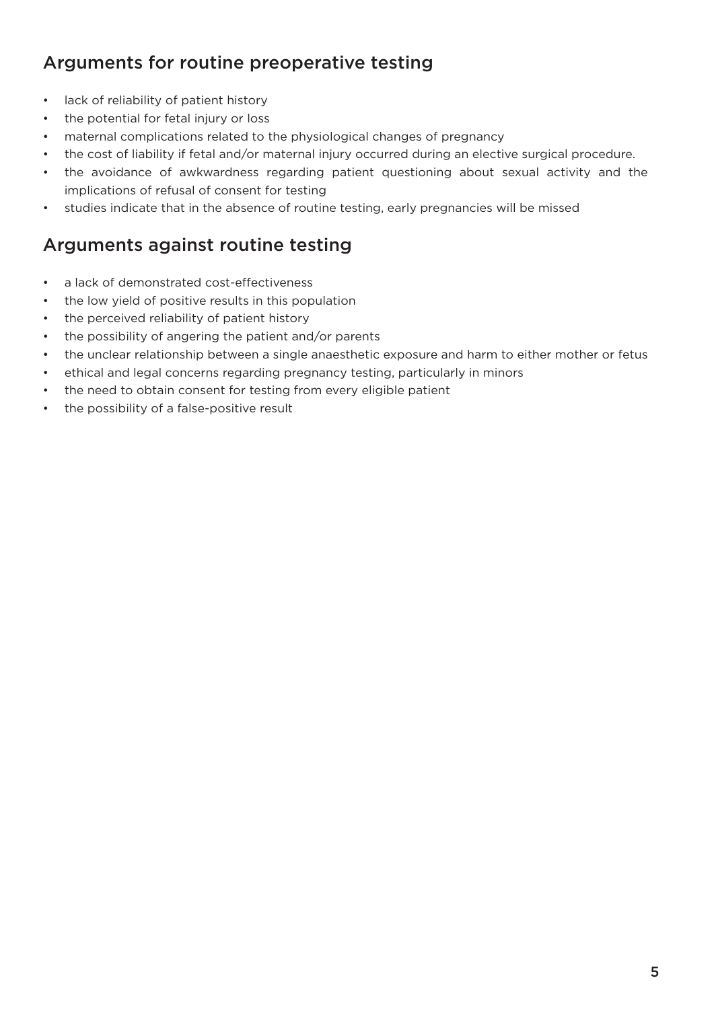## Arguments for routine preoperative testing

- • lack of reliability of patient history
- the potential for fetal injury or loss
- maternal complications related to the physiological changes of pregnancy
- the cost of liability if fetal and/or maternal injury occurred during an elective surgical procedure.
- the avoidance of awkwardness regarding patient questioning about sexual activity and the implications of refusal of consent for testing
- studies indicate that in the absence of routine testing, early pregnancies will be missed

## Arguments against routine testing

- a lack of demonstrated cost-effectiveness
- the low yield of positive results in this population
- the perceived reliability of patient history
- the possibility of angering the patient and/or parents
- the unclear relationship between a single anaesthetic exposure and harm to either mother or fetus
- ethical and legal concerns regarding pregnancy testing, particularly in minors
- the need to obtain consent for testing from every eligible patient
- the possibility of a false-positive result